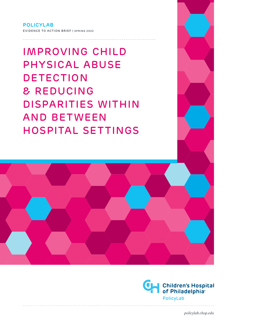**POLICYLAB** EVIDENCE TO ACTION BRIEF | SPRING 2022

IMPROVING CHILD PHYSICAL ABUSE DETECTION & REDUCING DISPARITIES WITHIN AND BETWEEN HOSPITAL SETTINGS



*policylab.chop.edu*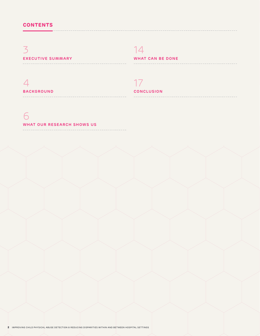# 3 **EXECUTIVE SUMMARY**

# 14

**WHAT CAN BE DONE**

# 4 **BACKGROUND**

 $- - - - - - - - - -$ 

# 17

## **CONCLUSION**

# 6 **WHAT OUR RESEARCH SHOWS US**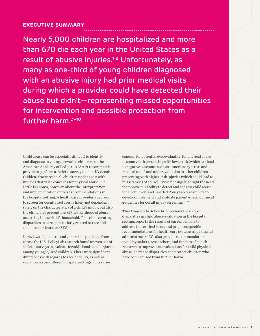### **EXECUTIVE SUMMARY**

Nearly 5,000 children are hospitalized and more than 670 die each year in the United States as a result of abusive injuries.**1,2** Unfortunately, as many as one-third of young children diagnosed with an abusive injury had prior medical visits during which a provider could have detected their abuse but didn't—representing missed opportunities for intervention and possible protection from further harm.3–10

Child abuse can be especially difficult to identify and diagnose in young, preverbal children, so the American Academy of Pediatrics (AAP) recommends providers perform a skeletal survey to identify occult (hidden) fractures in all children under age 2 with injuries that raise concerns for physical abuse.<sup>11-13</sup> Little is known, however, about the interpretation and implementation of these recommendations in the hospital setting. A health care provider's decision to screen for occult fractures is likely not dependent solely on the characteristics of a child's injury, but also the clinician's perceptions of the likelihood of abuse occurring in the child's household. This risks creating disparities in care, particularly related to race and socioeconomic status (SES).

In reviews of pediatric and general hospital data from across the U.S., PolicyLab research found uneven use of skeletal surveys to evaluate for additional occult injuries among young injured children. There were significant differences with regards to race and SES, as well as variation across different hospital settings. This raises

concern for potential overevaluation for physical abuse in some youth presenting with lower risk (which can lead to negative outcomes such as unnecessary stress and medical costs) and underevaluation in other children presenting with higher-risk injuries (which could lead to missed cases of abuse). These findings highlight the need to improve our ability to detect and address child abuse for all children, and have led PolicyLab researchers to develop, implement and evaluate patient-specific clinical guidelines for occult injury screening.14–16

This *Evidence to Action* brief reviews the data on disparities in child abuse evaluation in the hospital setting, reports the results of current efforts to address this critical issue, and proposes specific recommendations for health care systems and hospital administrators. We also provide recommendations to policymakers, researchers, and funders of health research to improve the evaluations for child physical abuse, decrease disparities and protect children who have been abused from further harm.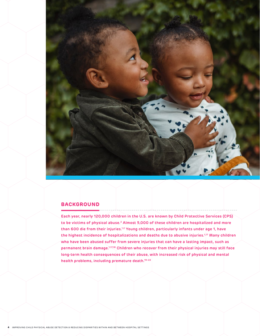

### **BACKGROUND**

**Each year, nearly 120,000 children in the U.S. are known by Child Protective Services (CPS) to be victims of physical abuse.2 Almost 5,000 of these children are hospitalized and more than 600 die from their injuries.1,2 Young children, particularly infants under age 1, have the highest incidence of hospitalizations and deaths due to abusive injuries.1,17 Many children who have been abused suffer from severe injuries that can have a lasting impact, such as permanent brain damage.1,17,18 Children who recover from their physical injuries may still face long-term health consequences of their abuse, with increased risk of physical and mental health problems, including premature death.19–22**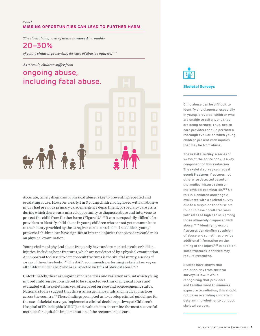#### *Figure 1* **MISSING OPPORTUNITIES CAN LEAD TO FURTHER HARM**

*The clinical diagnosis of abuse is missed in roughly* 

# 20–30%

*of young children presenting for care of abusive injuries.3–10*

#### *As a result, children suffer from*

# ongoing abuse, including fatal abuse.



Accurate, timely diagnosis of physical abuse is key to preventing repeated and escalating abuse. However, nearly 1 in 3 young children diagnosed with an abusive injury had previous primary care, emergency department, or specialty care visits during which there was a missed opportunity to diagnose abuse and intervene to protect the child from further harm (Figure 1).3–10 It can be especially difficult for providers to identify child abuse in young children who cannot yet communicate as the history provided by the caregiver can be unreliable. In addition, young preverbal children can have significant internal injuries that providers could miss on physical examination.

Young victims of physical abuse frequently have undocumented occult, or hidden, injuries, including bone fractures, which are not detected by a physical examination. An important tool used to detect occult fractures is the skeletal survey, a series of x-rays of the entire body.11,12 The AAP recommends performing a skeletal survey on all children under age 2 who are suspected victims of physical abuse.<sup>11,13</sup>

Unfortunately, there are significant disparities and variation around which young injured children are considered to be suspected victims of physical abuse and evaluated with a skeletal survey, often based on race and socioeconomic status. National studies suggest that this is an issue in hospitals and medical practices across the country.23 These findings prompted us to develop clinical guidelines for the use of skeletal surveys, implement a clinical decision pathway at Children's Hospital of Philadelphia (CHOP) and evaluate it to determine the most successful methods for equitable implementation of the recommended care.



#### **Skeletal Surveys**

Child abuse can be difficult to identify and diagnose, especially in young, preverbal children who are unable to tell anyone they are being harmed. Thus, health care providers should perform a thorough evaluation when young children present with injuries that may be from abuse.

The **skeletal survey**, a series of x-rays of the entire body, is a key component of this evaluation. The skeletal survey can reveal **occult fractures**, fractures not otherwise detected based on the medical history taken or the physical examination.**11,12** Up to 1 in 4 children under age 2 evaluated with a skeletal survey due to a suspicion for abuse are found to have occult fractures, with rates as high as 1 in 3 among those ultimately diagnosed with abuse.**24–29** Identifying occult fractures can confirm suspicion of abuse and sometimes provide additional information on the timing of the injury.**11,12** In addition, some fractures identified may require treatment.

Studies have shown that radiation risk from skeletal surveys is low.**<sup>30</sup>** While recognizing that providers and families want to minimize exposure to radiation, this should not be an overriding concern in determining whether to conduct skeletal surveys.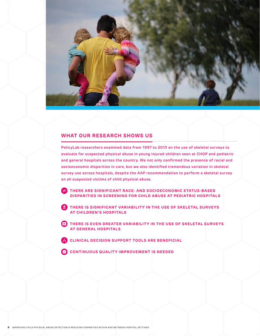

# **WHAT OUR RESEARCH SHOWS US**

**PolicyLab researchers examined data from 1997 to 2013 on the use of skeletal surveys to evaluate for suspected physical abuse in young injured children seen at CHOP and pediatric and general hospitals across the country. We not only confirmed the presence of racial and socioeconomic disparities in care, but we also identified tremendous variation in skeletal survey use across hospitals, despite the AAP recommendation to perform a skeletal survey on all suspected victims of child physical abuse.** 

**THERE ARE SIGNIFICANT RACE- AND SOCIOECONOMIC STATUS-BASED DISPARITIES IN SCREENING FOR CHILD ABUSE AT PEDIATRIC HOSPITALS**

**THERE IS SIGNIFICANT VARIABILITY IN THE USE OF SKELETAL SURVEYS AT CHILDREN'S HOSPITALS**

**THERE IS EVEN GREATER VARIABILITY IN THE USE OF SKELETAL SURVEYS AT GENERAL HOSPITALS**

**CLINICAL DECISION SUPPORT TOOLS ARE BENEFICIAL** 

**CONTINUOUS QUALITY IMPROVEMENT IS NEEDED**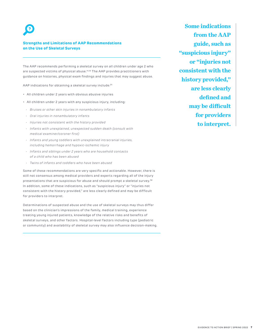#### **Strengths and Limitations of AAP Recommendations on the Use of Skeletal Surveys**

The AAP recommends performing a skeletal survey on all children under age 2 who are suspected victims of physical abuse.**11,13** The AAP provides practitioners with guidance on histories, physical exam findings and injuries that may suggest abuse.

AAP indications for obtaining a skeletal survey include:**<sup>31</sup>**

- All children under 2 years with obvious abusive injuries
- All children under 2 years with any suspicious injury, including:
- Bruises or other skin injuries in nonambulatory infants
- Oral injuries in nonambulatory infants
- Injuries not consistent with the history provided
- Infants with unexplained, unexpected sudden death (consult with medical examiner/coroner first)
- Infants and young toddlers with unexplained intracranial injuries, including hemorrhage and hypoxic-ischemic injury
- Infants and siblings under 2 years who are household contacts of a child who has been abused
- Twins of infants and toddlers who have been abused

Some of these recommendations are very specific and actionable. However, there is still not consensus among medical providers and experts regarding all of the injury presentations that are suspicious for abuse and should prompt a skeletal survey.**<sup>32</sup>** In addition, some of these indications, such as "suspicious injury" or "injuries not consistent with the history provided," are less clearly defined and may be difficult for providers to interpret.

Determinations of suspected abuse and the use of skeletal surveys may thus differ based on the clinician's impressions of the family, medical training, experience treating young injured patients, knowledge of the relative risks and benefits of skeletal surveys, and other factors. Hospital-level factors including type (pediatric or community) and availability of skeletal survey may also influence decision-making.

**Some indications from the AAP guide, such as "suspicious injury" or "injuries not consistent with the history provided," are less clearly defined and may be difficult for providers to interpret.**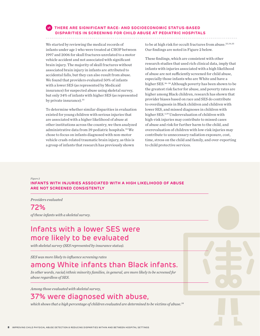### **THERE ARE SIGNIFICANT RACE- AND SOCIOECONOMIC STATUS-BASED DISPARITIES IN SCREENING FOR CHILD ABUSE AT PEDIATRIC HOSPITALS**

We started by reviewing the medical records of infants under age 1 who were treated at CHOP between 1997 and 2006 for skull fractures unrelated to a motor vehicle accident and not associated with significant brain injury. The majority of skull fractures without associated brain injury in infants are attributed to accidental falls, but they can also result from abuse. We found that providers evaluated 50% of infants with a lower SES (as represented by Medicaid insurance) for suspected abuse using skeletal survey, but only 34% of infants with higher SES (as represented by private insurance).<sup>33</sup>

To determine whether similar disparities in evaluation existed for young children with serious injuries that are associated with a higher likelihood of abuse at other institutions across the country, we then analyzed administrative data from 39 pediatric hospitals.34 We chose to focus on infants diagnosed with non-motor vehicle crash-related traumatic brain injury, as this is a group of infants that research has previously shown

to be at high risk for occult fractures from abuse.<sup>25,34,35</sup> Our findings are noted in Figure 2 below.

These findings, which are consistent with other research studies that used rich clinical data, imply that infants with injuries associated with a high likelihood of abuse are not sufficiently screened for child abuse, especially those infants who are White and have a higher SES.36–38 Although poverty has been shown to be the greatest risk factor for abuse, and poverty rates are higher among Black children, research has shown that provider biases based on race and SES do contribute to overdiagnosis in Black children and children with lower SES, and missed diagnoses in children with higher SES.3,39 Underevaluation of children with high-risk injuries may contribute to missed cases of abuse and risk for further harm to the child, and overevaluation of children with low-risk injuries may contribute to unnecessary radiation exposure, cost, time, stress on the child and family, and over-reporting to child protective services.

*Figure 2*

**INFANTS WITH INJURIES ASSOCIATED WITH A HIGH LIKELIHOOD OF ABUSE ARE NOT SCREENED CONSISTENTLY**

*Providers evaluated* 

72%

*of these infants with a skeletal survey.*

# Infants with a lower SES were more likely to be evaluated

*with skeletal survey (SES represented by insurance status).*

*SES was more likely to influence screening rates* 

# among White infants than Black infants.

*In other words, racial/ethnic minority families, in general, are more likely to be screened for abuse regardless of SES.*

*Among those evaluated with skeletal survey,*

# 37% were diagnosed with abuse,

*which shows that a high percentage of children evaluated are determined to be victims of abuse.34*

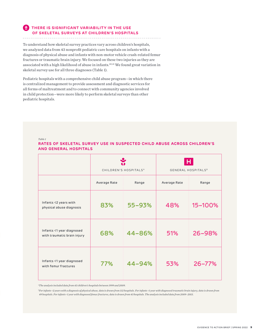### **THERE IS SIGNIFICANT VARIABILITY IN THE USE OF SKELETAL SURVEYS AT CHILDREN'S HOSPITALS**

To understand how skeletal survey practices vary across children's hospitals, we analyzed data from 43 nonprofit pediatric care hospitals on infants with a diagnosis of physical abuse and infants with non-motor vehicle crash-related femur fractures or traumatic brain injury. We focused on these two injuries as they are associated with a high likelihood of abuse in infants.<sup>40,41</sup> We found great variation in skeletal survey use for all three diagnoses (Table 1).

Pediatric hospitals with a comprehensive child abuse program—in which there is centralized management to provide assessment and diagnostic services for all forms of maltreatment and to connect with community agencies involved in child protection—were more likely to perform skeletal surveys than other pediatric hospitals.

*Table 1*

### **RATES OF SKELETAL SURVEY USE IN SUSPECTED CHILD ABUSE ACROSS CHILDREN'S AND GENERAL HOSPITALS**

|                                                          | CHILDREN'S HOSPITALS <sup>A</sup> |        | <b>GENERAL HOSPITALS<sup>B</sup></b> |         |
|----------------------------------------------------------|-----------------------------------|--------|--------------------------------------|---------|
|                                                          | Average Rate                      | Range  | Average Rate                         | Range   |
| Infants <2 years with<br>physical abuse diagnosis        | 83%                               | 55-93% | 48%                                  | 15-100% |
| Infants <1 year diagnosed<br>with traumatic brain injury | 68%                               | 44-86% | 51%                                  | 26-98%  |
| Infants <1 year diagnosed<br>with femur fractures        | 77%                               | 44-94% | 53%                                  | 26-77%  |

*a The analysis included data from 43 children's hospitals between 1999 and 2009.*

*b For infants <2 years with a diagnosis of physical abuse, data is drawn from 112 hospitals. For infants <1 year with diagnosed traumatic brain injury, data is drawn from 49 hospitals. For infants <1 year with diagnosed femur fractures, data is drawn from 43 hospitals. The analysis included data from 2009–2013.*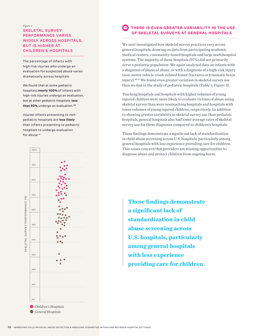### *Figure 3* **SKELETAL SURVEY PERFORMANCE VARIES WIDELY ACROSS HOSPITALS, BUT IS HIGHER AT CHILDREN'S HOSPITALS**

The percentage of infants with high-risk injuries who undergo an evaluation for suspected abuse varies dramatically across hospitals.

We found that at some pediatric hospitals, **nearly 100%** of infants with high-risk injuries undergo an evaluation, but at other pediatric hospitals, **less than 50%** undergo an evaluation.**<sup>40</sup>**

Injured infants presenting to nonpediatric hospitals are **less likely** than infants presenting to pediatric hospitals to undergo evaluation for abuse.<sup>41</sup>



### **THERE IS EVEN GREATER VARIABILITY IN THE USE OF SKELETAL SURVEYS AT GENERAL HOSPITALS**

We next investigated how skeletal survey practices vary across general hospitals, drawing on data from participating academic medical centers, community-based hospitals and large multihospital systems. The majority of these hospitals (97%) did not primarily serve a pediatric population. We again analyzed data on infants with a diagnosis of physical abuse, or with a diagnosis of a high-risk injury (non-motor vehicle crash-related femur fractures or traumatic brain injury).40,41 We found even greater variation in skeletal survey use than we had in the study of pediatric hospitals (Table 1; Figure 3).

Teaching hospitals and hospitals with higher volumes of young injured children were more likely to evaluate victims of abuse using skeletal survey than were nonteaching hospitals and hospitals with lower volumes of young injured children, respectively. In addition to showing greater variability in skeletal survey use than pediatric hospitals, general hospitals also had lower average rates of skeletal survey use for these diagnoses compared to children's hospitals.

These findings demonstrate a significant lack of standardization in child abuse screening across U.S. hospitals, particularly among general hospitals with less experience providing care for children. This raises concern that providers are missing opportunities to diagnose abuse and protect children from ongoing harm.

**These findings demonstrate a significant lack of standardization in child abuse screening across U.S. hospitals, particularly among general hospitals with less experience providing care for children.**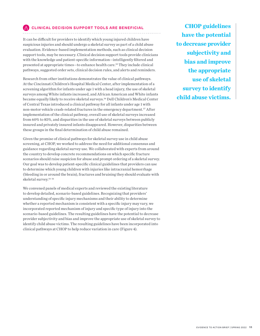### **CLINICAL DECISION SUPPORT TOOLS ARE BENEFICIAL**

It can be difficult for providers to identify which young injured children have suspicious injuries and should undergo a skeletal survey as part of a child abuse evaluation. Evidence-based implementation methods, such as clinical decision support tools, may be necessary. Clinical decision support tools provide clinicians with the knowledge and patient-specific information—intelligently filtered and presented at appropriate times—to enhance health care.42 They include clinical pathways, suggested order sets, clinical decision rules, and alerts and reminders.

Research from other institutions demonstrates the value of clinical pathways. At the Cincinnati Children's Hospital Medical Center, after implementation of a screening algorithm for infants under age 1 with a head injury, the use of skeletal surveys among White infants increased, and African American and White infants became equally likely to receive skeletal surveys.36 Dell Children's Medical Center of Central Texas introduced a clinical pathway for all infants under age 1 with non-motor vehicle crash-related fractures in the emergency department.37 After implementation of the clinical pathway, overall use of skeletal surveys increased from 60% to 85%, and disparities in the use of skeletal surveys between publicly insured and privately insured infants disappeared. However, disparities between these groups in the final determination of child abuse remained.

Given the promise of clinical pathways for skeletal survey use in child abuse screening, at CHOP, we worked to address the need for additional consensus and guidance regarding skeletal survey use. We collaborated with experts from around the country to develop concrete recommendations on which specific fracture scenarios should raise suspicion for abuse and prompt ordering of a skeletal survey. Our goal was to develop patient-specific clinical guidelines that providers can use to determine which young children with injuries like intracranial hemorrhage (bleeding in or around the brain), fractures and bruising they should evaluate with skeletal survey.14–16

We convened panels of medical experts and reviewed the existing literature to develop detailed, scenario-based guidelines. Recognizing that providers' understanding of specific injury mechanisms and their ability to determine whether a reported mechanism is consistent with a specific injury may vary, we incorporated reported mechanism of injury and specific type of injury into the scenario-based guidelines. The resulting guidelines have the potential to decrease provider subjectivity and bias and improve the appropriate use of skeletal survey to identify child abuse victims. The resulting guidelines have been incorporated into clinical pathways at CHOP to help reduce variation in care (Figure 4).

**CHOP guidelines have the potential to decrease provider subjectivity and bias and improve the appropriate use of skeletal survey to identify child abuse victims.**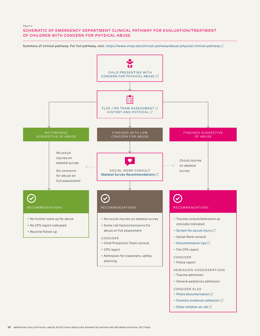#### *Figure 4* **SCHEMATIC OF EMERGENCY DEPARTMENT CLINICAL PATHWAY FOR EVALUATION/TREATMENT OF CHILDREN WITH CONCERN FOR PHYSICAL ABUSE**

Summary of clinical pathway. For full pathway, visit: <https://www.chop.edu/clinical-pathway/abuse-physical-clinical-pathway> [2]



• [Other children at risk](https://www.chop.edu/clinical-pathway/physical-abuse-concerns-clinical-pathway-other-children-home)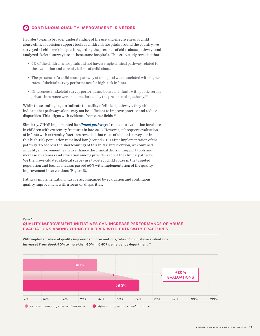#### Ø **CONTINUOUS QUALITY IMPROVEMENT IS NEEDED**

In order to gain a broader understanding of the use and effectiveness of child abuse clinical decision support tools at children's hospitals around the country, we surveyed 41 children's hospitals regarding the presence of child abuse pathways and analyzed skeletal survey use at those same hospitals. This 2016 study revealed that:

- 9% of the children's hospitals did not have a single clinical pathway related to the evaluation and care of victims of child abuse.
- The presence of a child abuse pathway at a hospital was associated with higher rates of skeletal survey performance for high-risk infants.
- Differences in skeletal survey performance between infants with public versus private insurance were not ameliorated by the presence of a pathway.43

While these findings again indicate the utility of clinical pathways, they also indicate that pathways alone may not be sufficient to improve practice and reduce disparities. This aligns with evidence from other fields.<sup>44</sup>

Similarly, CHOP implemented its *[clinical pathway](https://www.chop.edu/clinical-pathway/fracture-extremity-suspected-clinical-pathway)*  $\mathbb Z$  related to evaluation for abuse in children with extremity fractures in late 2013. However, subsequent evaluation of infants with extremity fractures revealed that rates of skeletal survey use in this high-risk population remained low (around 40%) after implementation of the pathway. To address the shortcomings of this initial intervention, we convened a quality improvement team to enhance the clinical decision support tools and increase awareness and education among providers about the clinical pathway. We then re-evaluated skeletal survey use to detect child abuse in the targeted population and found it had surpassed 60% with implementation of the quality improvement interventions (Figure 5).

Pathway implementation must be accompanied by evaluation and continuous quality improvement with a focus on disparities.

#### *Figure 5* **QUALITY IMPROVEMENT INITIATIVES CAN INCREASE PERFORMANCE OF ABUSE EVALUATIONS AMONG YOUNG CHILDREN WITH EXTREMITY FRACTURES**

*0% 10% 20% 30% 40% 50% 60% 70% 80% 90% 100%* ~40% >60% **+20%** EVALUATIONS

With implementation of quality improvement interventions, rates of child abuse evaluations **increased from about 40% to more than 60%** in CHOP's emergency department.<sup>45</sup>

*Prior to quality improvement initiative After quality improvement initiative*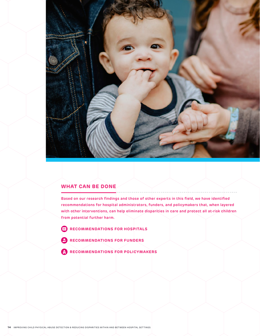

# **WHAT CAN BE DONE**

**Based on our research findings and those of other experts in this field, we have identified recommendations for hospital administrators, funders, and policymakers that, when layered with other interventions, can help eliminate disparities in care and protect all at-risk children from potential further harm.** 

- **RECOMMENDATIONS FOR HOSPITALS**
- **RECOMMENDATIONS FOR FUNDERS**
- **RECOMMENDATIONS FOR POLICYMAKERS**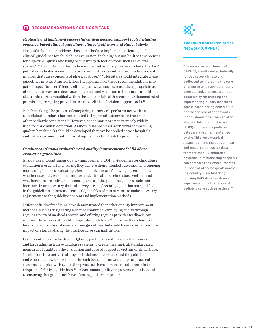#### **RECOMMENDATIONS FOR HOSPITALS** Ħ

#### *Replicate and implement successful clinical decision support tools including evidence-based clinical guidelines, clinical pathways and clinical alerts*

Hospitals should use evidence-based methods to implement patient-specific clinical guidelines for child abuse evaluation, including but not limited to screening for high-risk injuries and using occult injury detection tools such as skeletal survey.45,46 In addition to the guidelines created by PolicyLab researchers, the AAP published valuable recommendations on identifying and evaluating children with injuries that raise concerns of physical abuse.13–16 Hospitals should integrate these guidelines into existing work flow. Incorporation of these recommendations into patient-specific, user-friendly clinical pathways may increase the appropriate use of skeletal surveys and decrease disparities and variation in their use. In addition, electronic alerts embedded within the electronic health record have demonstrated promise in prompting providers to utilize clinical decision support tools.47

Benchmarking (the process of comparing a practice's performance with an established standard) has contributed to improved outcomes for treatment of other pediatric conditions.48 However, benchmarks are not currently widely used for child abuse detection. As individual hospitals work toward improving quality, benchmarks should be developed that can be applied across hospitals and encourage more routine use of injury detection tools by providers.

#### *Conduct continuous evaluation and quality improvement of child abuse evaluation guidelines*

Evaluation and continuous quality improvement (CQI) of guidelines for child abuse evaluation is crucial for ensuring they achieve their intended outcomes. This ongoing monitoring includes evaluating whether clinicians are following the guidelines, whether use of the guidelines improves identification of child abuse victims, and whether there are unintended consequences of the guidelines, such as substantial increases in unnecessary skeletal survey use, neglect of a population not specified in the guidelines or increased costs. CQI enables administrators to make necessary adjustments to the guideline content and implementation methods.

Different fields of medicine have demonstrated that other quality improvement methods, such as designating a change champion, employing audits through regular review of medical records, and offering regular provider feedback, can improve the success of condition-specific guidelines.49 These methods have yet to be evaluated for child abuse detection guidelines, but could have a similar positive impact on standardizing the practice across an institution.

One potential way to facilitate CQI is by partnering with research networks and large administrative database systems to create meaningful, standardized measures of quality in the evaluation and care of suspected victims of child abuse. In addition, interactive training of clinicians on where to find the guidelines and when and how to use them—through tools such as workshops or practical sessions—coupled with evaluation processes have demonstrated success in the adoption of clinical guidelines.<sup>49-51</sup> Continuous quality improvement is also vital to ensuring that guidelines have a lasting positive impact.<sup>52</sup>



### **The Child Abuse Pediatrics Network (CAPNET)**

The recent establishment of CAPNET, a multicenter, federally funded research network dedicated to improving the care of children who have potentially been abused, presents a unique opportunity for creating and implementing quality measures across participating centers.**53,54** Another potential opportunity for collaboration is the Pediatric Hospital Information System (PHIS) comparative pediatric database, which is maintained by the Children's Hospital Association and includes clinical and resource utilization data for more than 49 children's hospitals.**<sup>55</sup>** Participating hospitals can compare their own outcomes to those of other hospitals across the country. Benchmarking utilizing PHIS data has driven improvement in other areas of pediatric care such as asthma.**<sup>48</sup>**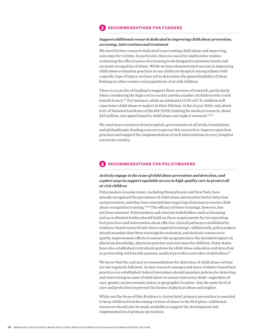### **RECOMMENDATIONS FOR FUNDERS**

#### *Support additional research dedicated to improving child abuse prevention, screening, interventions and treatment*

We need further research dedicated to preventing child abuse and improving outcomes for victims. In particular, there is a need for multicenter studies evaluating the effectiveness of screening tools designed to promote timely and accurate recognition of abuse. While we have demonstrated success in improving child abuse evaluation practices in one children's hospital among infants with a specific type of injury, we have yet to determine the generalizability of these findings to other centers and populations of at-risk children.

There is a scarcity of funding to support these avenues of research, particularly when considering the high cost to society and the number of children who could benefit from it.56 For instance, while an estimated 12.5% of U.S. children will experience child abuse or neglect in their lifetime, in fiscal year 2019, only about 0.1% of National Institutes of Health (NIH) funding for medical research, about \$43 million, was apportioned to child abuse and neglect research.<sup>57,58</sup>

We need more resources from hospitals, governments at all levels, foundations, and philanthropic funding sources to pursue this research to improve upon best practices and support the implementation of such interventions in every hospital across the country.

# **RECOMMENDATIONS FOR POLICYMAKERS**

### *Actively engage in the issue of child abuse prevention and detection, and explore ways to support equitable access to high-quality care to protect all at-risk children*

Policymakers in some states, including Pennsylvania and New York, have already recognized the prevalence of child abuse and need for better detection and prevention, and they have enacted laws requiring clinicians to receive child abuse recognition training.59,60 The efficacy of these trainings, however, has not been assessed. Policymakers and relevant stakeholders such as licensing and accreditation bodies should build on these requirements by incorporating best practices and information about effective clinical pathways established by evidence-based research into these required trainings. Additionally, policymakers should mandate that these trainings be evaluated, and dedicate resources to quality improvement efforts to ensure the programs have the intended impact on physician knowledge, physician practice and outcomes for children. Some states have also established centralized systems for child abuse education and detection in partnership with health systems, medical providers and other stakeholders.<sup>61</sup>

We know that the national recommendations for detection of child abuse victims are not regularly followed. As new research emerges and more evidence-based best practices are established, federal lawmakers should mandate policies for detecting and intervening in cases of child abuse to ensure that every child—regardless of race, gender, socioeconomic status or geographic location—has the same level of care and protection to prevent the harms of physical abuse and neglect.

While not the focus of this *Evidence to Action* brief, primary prevention is essential to keep children from becoming victims of abuse in the first place. Additional resources should also be made available to support the development and implementation of primary prevention.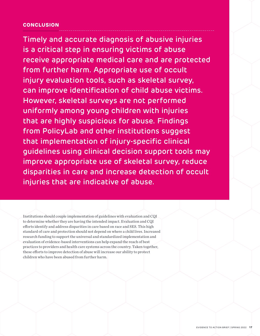# **CONCLUSION**

Timely and accurate diagnosis of abusive injuries is a critical step in ensuring victims of abuse receive appropriate medical care and are protected from further harm. Appropriate use of occult injury evaluation tools, such as skeletal survey, can improve identification of child abuse victims. However, skeletal surveys are not performed uniformly among young children with injuries that are highly suspicious for abuse. Findings from PolicyLab and other institutions suggest that implementation of injury-specific clinical guidelines using clinical decision support tools may improve appropriate use of skeletal survey, reduce disparities in care and increase detection of occult injuries that are indicative of abuse.

Institutions should couple implementation of guidelines with evaluation and CQI to determine whether they are having the intended impact. Evaluation and CQI efforts identify and address disparities in care based on race and SES. This high standard of care and protection should not depend on where a child lives. Increased research funding to support the universal and standardized implementation and evaluation of evidence-based interventions can help expand the reach of best practices to providers and health care systems across the country. Taken together, these efforts to improve detection of abuse will increase our ability to protect children who have been abused from further harm.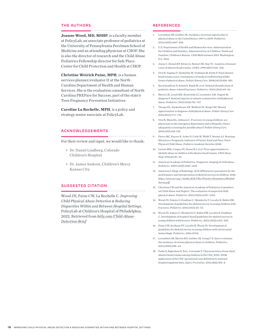#### **THE AUTHORS**

**Joanne Wood, MD, MSHP**, is a faculty member at PolicyLab, an associate professor of pediatrics at the University of Pennsylvania Perelman School of Medicine and an attending physician at CHOP. She is also the director of research and the Child Abuse Pediatrics Fellowship director for Safe Place: Center for Child Protection and Health at CHOP.

**Christine Weirich Paine, MPH**, is a human services planner/evaluator II at the North Carolina Department of Health and Human Services. She is the evaluation consultant of North Carolina PREPare for Success, part of the state's Teen Pregnancy Prevention Initiatives.

**Caroline La Rochelle, MPH**, is a policy and strategy senior associate at PolicyLab.

#### **ACKNOWLEDGEMENTS**

For their review and input, we would like to thank:

- Dr. Daniel Lindberg, Colorado Children's Hospital
- Dr. James Anderst, Children's Mercy Kansas City

#### **SUGGESTED CITATION**

Wood JN, Paine CW, La Rochelle C. *Improving Child Physical Abuse Detection & Reducing Disparities Within and Between Hospital Settings*. PolicyLab at Children's Hospital of Philadelphia; 2022. Retrieved from *[bitly.com/Child-Abuse-](https://bitly.com/Child-Abuse-Detection-Brief)[Detection-Brief](https://bitly.com/Child-Abuse-Detection-Brief)*

#### **REFERENCES**

- 1. Leventhal JM, Gaither JR. Incidence of serious injuries due to physical abuse in the United States: 1997 to 2009. *Pediatrics*. 2012;130(5):e847–852.
- 2. U.S. Department of Health and Human Services, Administration for Children and Families, Administration on Children, Youth and Families, Children's Bureau. *Child Maltreatment 2019*. Washington, D.C. 2021.
- 3. Jenny C, Hymel KP, Ritzen A, Reinert SE, Hay TC. Analysis of missed cases of abusive head trauma. *JAMA*. 1999;281(7):621–626.
- 4. Oral R, Yagmur F, Nashelsky M, Turkmen M, Kirby P. Fatal abusive head trauma cases: consequence of medical staff missing milder forms of physical abuse. *Pediatr Emerg Care*. 2008;24(12):816–821.
- 5. Ravichandiran N, Schuh S, Bejuk M, et al. Delayed identification of pediatric abuse-related fractures. *Pediatrics*. 2010;125(1):60–66.
- 6. Sheets LK, Leach ME, Koszewski IJ, Lessmeier AM, Nugent M, Simpson P. Sentinel injuries in infants evaluated for child physical abuse. *Pediatrics*. 2013;131(4):701–707.
- 7. Thorpe EL, Zuckerbraun NS, Wolford JE, Berger RP. Missed opportunities to diagnose child physical abuse. *Pediatr Emerg Care*. 2014;30(11):771–776.
- 8. Oral R, Blum KL, Johnson C. Fractures in young children: are physicians in the emergency department and orthopedic clinics adequately screening for possible abuse? *Pediatr Emerg Care*. 2003;19(3):148–153.
- 9. Pierce MC, Kaczor K, Acker D, Carle M, Webb T, Brenze AJ. Bruising Missed as a Prognostic Indicator of Future Fatal and Near-Fatal Physical Child Abuse. *Pediatric Academic Societies* 2008.
- 10. Letson MM, Cooper JN, Deans KJ, et al. Prior opportunities to identify abuse in children with abusive head trauma. *Child Abuse Negl*. 2016;60:36–45.
- 11. American Academy of Pediatrics. Diagnostic imaging of child abuse. *Pediatrics*. 2009;123(5):1430–1435.
- 12. American College of Radiology. ACR-SPR practice parameter for the performance and interpretation of skeletal surveys in children. 2016; *[https://www.acr.org/-/media/ACR/Files/Practice-Parameters/Skeletal-](https://www.acr.org/-/media/ACR/Files/Practice-Parameters/Skeletal-Survey.pdf)[Survey.pdf](https://www.acr.org/-/media/ACR/Files/Practice-Parameters/Skeletal-Survey.pdf)*
- 13. Christian CW and the American Academy of Pediatrics Committee on Child Abuse and Neglect. The evaluation of suspected child physical abuse. *Pediatrics*. 2015;135(5):e1337–1354.
- 14. Wood JN, Fakeye O, Feudtner C, Mondestin V, Localio R, Rubin DM. Development of guidelines for skeletal survey in young children with fractures. *Pediatrics*. 2014;134(1):45–53.
- 15. Wood JN, Fakeye O, Mondestin V, Rubin DM, Localio R, Feudtner C. Development of hospital-based guidelines for skeletal survey in young children with bruises. *Pediatrics*. 2015;135(2):e312–320.
- 16. Paine CW, Scribano PV, Localio R, Wood JN. Development of guidelines for skeletal survey in young children with intracranial hemorrhage. *Pediatrics*. 2016;137(4).
- 17. Leventhal JM, Martin KD, Gaither JR. Using U.S. data to estimate the incidence of serious physical abuse in children. *Pediatrics*. 2012;129(3):458–64.
- 18. Parks S, Sugerman D, Xu L, Coronado V. Characteristics of non-fatal abusive head trauma among children in the USA, 2003–2008: application of the CDC operational case definition to national hospital inpatient data. *Injury Prevention*. 2012;18(6):392–8.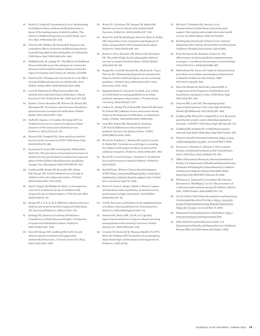- 19. Felitti VJ, Anda RF, Nordenberg D, et al. Relationship of childhood abuse and household dysfunction to many of the leading causes of death in adults. The Adverse Childhood Experiences (ACE) Study. *Am J Prev Med*. 1998;14(4):245–258.
- 20. Chartier MJ, Walker JR, Naimark B. Separate and cumulative effects of adverse childhood experiences in predicting adult health and health care utilization. *Child Abuse Negl*. 2010;34(6):454–464.
- 21. Middlebrooks JS, Audage NC. The Effects of Childhood Stress on Health Across the Lifespan. In: Centers for Disease Control and Prevention; National Center for Injury Prevention and Control, ed. Atlanta, GA 2008.
- 22. Flaherty EG, Thompson R, Litrownik AJ, et al. Effect of early childhood adversity on child health. *Arch Pediatr Adolesc Med*. 2006;160(12):1232–1238.
- 23. Lane W, Dubowitz H. What factors affect the identification and reporting of child abuse-related fractures? *Clin Orthop Relat Res*. 2007;461:219–225.
- 24. Barber I, Perez-Rossello JM, Wilson CR, Silvera MV, Kleinman PK. Prevalence and relevance of pediatric spinal fractures in suspected child abuse. *Pediatr Radiol*. 2013;43(11):1507–1515.
- 25. Duffy SO, Squires J, Fromkin JB, Berger RP. Use of skeletal surveys to evaluate for physical abuse: Analysis of 703 consecutive skeletal surveys. *Pediatrics*. 2011;127(1):e47–52.
- 26. Hansen KK, Campbell KA. How useful are skeletal surveys in the second year of life? *Child Abuse Negl*. 2009;33(5):278–281.
- 27. Karmazyn B, Lewis ME, Jennings SG, Hibbard RA, Hicks RA. The prevalence of uncommon fractures on skeletal surveys performed to evaluate for suspected abuse in 930 children: Should practice guidelines change? *Am J Roentgenol*. 2011;197(1):W159–163.
- 28. Lindberg DM, Berger RP, Reynolds MS, Alwan RM, Harper NS. Yield of skeletal survey by age in children referred to abuse specialists. *J Pediatr*. 2014;164(6):1268–1273 e1261.
- 29. Day F, Clegg S, McPhillips M, Mok J. A retrospective case series of skeletal surveys in children with suspected non-accidental injury. *J Clin Forensic Med*. 2006;13(2):55–59.
- 30. Berger RP, A. P, S. G, M. S. Effective radiation dose in a skeletal survey performed for suspected child abuse. *The Journal of Pediatrics*. 2016;171:310–312.
- 31. Kellogg ND, American Academy of Pediatrics Committee on Child Abuse and Neglect. Evaluation of suspected child physical abuse. *Pediatrics*. 2007;119(6):1232–1241.
- 32. Deye KP, Berger RP, Lindberg DM, Ex SI. Occult abusive injuries in infants with apparently isolated skull fractures. *J Trauma Acute Care Surg*. 2013;74(6):1553–1558.
- 33. Wood JN, Christian CW, Adams CM, Rubin DM. Skeletal surveys in infants with isolated skull fractures. *Pediatrics*. 2009;123(2):e247–252.
- 34. Wood JN, Hall M, Schilling S, Keren R, Mitra N, Rubin DM. Disparities in the evaluation and diagnosis of abuse among infants with traumatic brain injury. *Pediatrics*. 2010;126(3):408–414.
- 35. Barber I, Perez-Rossello JM, Wilson CR, Kleinman PK. The yield of high-detail radiographic skeletal surveys in suspected infant abuse. *Pediatr Radiol*. 2015;45(1):69–80.
- 36. Rangel EL, Cook BS, Bennett BL, Shebesta K, Ying J, Falcone RA. Eliminating disparity in evaluation for abuse in infants with head injury: use of a screening guideline. *J Pediatr Surg*. 2009;44(6):1229–1234; discussion 1234–1235.
- 37. Higginbotham N, Lawson K, Gettig K, et al. Utility of a child abuse screening guideline in an urban pediatric emergency department. *J Trauma Acute Care Surg*. 2014;76(3):871–877.
- 38. Laskey AL, Stump TE, Perkins SM, Zimet GD, Sherman SJ, Downs SM. Influence of race and socioeconomic status on the diagnosis of child abuse: a randomized study. *J Pediatr*. 2012;160(6):1003–1008 e1001.
- 39. Lane WG, Rubin DM, Monteith R, Christian CW. Racial differences in the evaluation of pediatric fractures for physical abuse. *JAMA*. 2002;288(13):1603–1609.
- 40. Wood JN, Feudtner C, Medina SP, Luan X, Localio R, Rubin DM. Variation in occult injury screening for children with suspected abuse in selected US children's hospitals. *Pediatrics*. 2012;130(5):853–860.
- 41. Wood JN, French B, Song L, Feudtner C. Evaluation for occult fractures in injured children. *Pediatrics*. 2015;136(2).
- 42. HealthIT.gov. What is Clinical Decision Support (CDS)? *[https://www.healthit.gov/policy-researchers](https://www.healthit.gov/policy-researchers-implementers/clinical-decision-support-cds)[implementers/clinical-decision-support-cds](https://www.healthit.gov/policy-researchers-implementers/clinical-decision-support-cds)*. Content last reviewed on April 10, 2018.
- 43. Stavas N, Paine C, Song L, Shults J, Wood J. Impact of child abuse clinical pathways on skeletal survey performance in high-risk infants. *Acad Pediatr*.  $2020:20(1):39-45$
- 44. Grol R. Successes and failures in the implementation of evidence-based guidelines for clinical practice. *Med Care*. 2001;39(8 Suppl 2):II46–54.
- 45. Deutsch SA, Henry MK, Lin W, et al. Quality improvement initiative to improve abuse screening among infants with extremity fractures. *Pediatr Emerg Care*. 2019;35(9):643–650.
- 46. Crumm CE, Brown ECB, Thomas-Smith S, Yu DTY, Metz JB, Feldman KW. Evaluation of an emergency department high-risk bruising screening protocol. *Pediatrics*. 2021;147(4).
- 47. McGinn T, Feldstein DA, Barata I, et al. Dissemination of child abuse clinical decision support: Moving beyond a single electronic health record. *Int J Med Inform*. 2021;147:104349.
- 48. *Building Benchmarks for Pediatric Care: Patients Hospitalized for Asthma, Bronchiolitis and Pneumonia*. Children's Hospital Association; July 8 2016.
- 49. Prior M, Guerin M, Grimmer-Somers K. The effectiveness of clinical guideline implementation strategies—a synthesis of systematic review findings. *J Eval Clin Pract*. 2008;14(5):888–897.
- 50. Sidebotham PD, Pearce AV. Audit of child protection procedures in accident and emergency department to identify children at risk of abuse. *BMJ*. 1997;315(7112):855–856.
- 51. Pless IB, Sibald AD, Smith MA, Russell MD. A reappraisal of the frequency of child abuse seen in pediatric emergency rooms. *Child Abuse Negl*. 1987;11(2):193–200.
- 52. Chassin MR, Loeb JM. The ongoing quality improvement journey: Next stop, high reliability. *Health Aff (Millwood)*. 2011;30(4):559–568.
- 53. Lindberg DM, Wood JN, Campbell KA, et al. Research priorities for a multi-center child abuse pediatrics network—CAPNET. *Child Abuse Negl*. 2017;65:152–157.
- 54. Lindberg DM, Scribano PV. A child abuse research network: Now what? *Child Abuse Negl*. 2017;70:406–407.
- 55. Pediatric Health Information System. *[https://www.](https://www.childrenshospitals.org/phis) [childrenshospitals.org/phis](https://www.childrenshospitals.org/phis)*. Accessed May 9, 2021.
- 56. Peterson C, Florence C, Klevens J. The economic burden of child maltreatment in the United States, 2015. *Child Abuse Negl*. 2018;86:178–183.
- 57. Office of Extramural Research, National Institutes of Health, U.S. Department of Health and Human Services. Estimates of Funding for Various Research, Condition, and Disease Categories. *Research Portfolio Online Reporting Tools (RePORT)*. February 10, 2016.
- 58. Wildeman C, Emanuel N, Leventhal JM, Putnam-Hornstein E, Waldfogel J, Lee H. The prevalence of confirmed maltreatment among US children, 2004 to 2011. *JAMA Pediatr*. 2014;168(8):706–713.
- 59. Act 31 of 2014 Child Abuse Recognition and Reporting Continuing Education Providers. *[https://www.dos.](https://www.dos.pa.gov/ProfessionalLicensing/BoardsCommissions/Pages/Act-31.aspx) [pa.gov/ProfessionalLicensing/BoardsCommissions/](https://www.dos.pa.gov/ProfessionalLicensing/BoardsCommissions/Pages/Act-31.aspx) [Pages/Act-31.aspx](https://www.dos.pa.gov/ProfessionalLicensing/BoardsCommissions/Pages/Act-31.aspx)*. Accessed May 13, 2021.
- 60. Mandated Training Related to Child Abuse. *[http://](http://www.op.nysed.gov/training/camemo.htm) [www.op.nysed.gov/training/camemo.htm](http://www.op.nysed.gov/training/camemo.htm)*.
- 61. 2021/2022 Prevention Resource Guide. U.S. Department of Health and Human Services Children's Bureau Office on Child Abuse and Neglect; 2021.